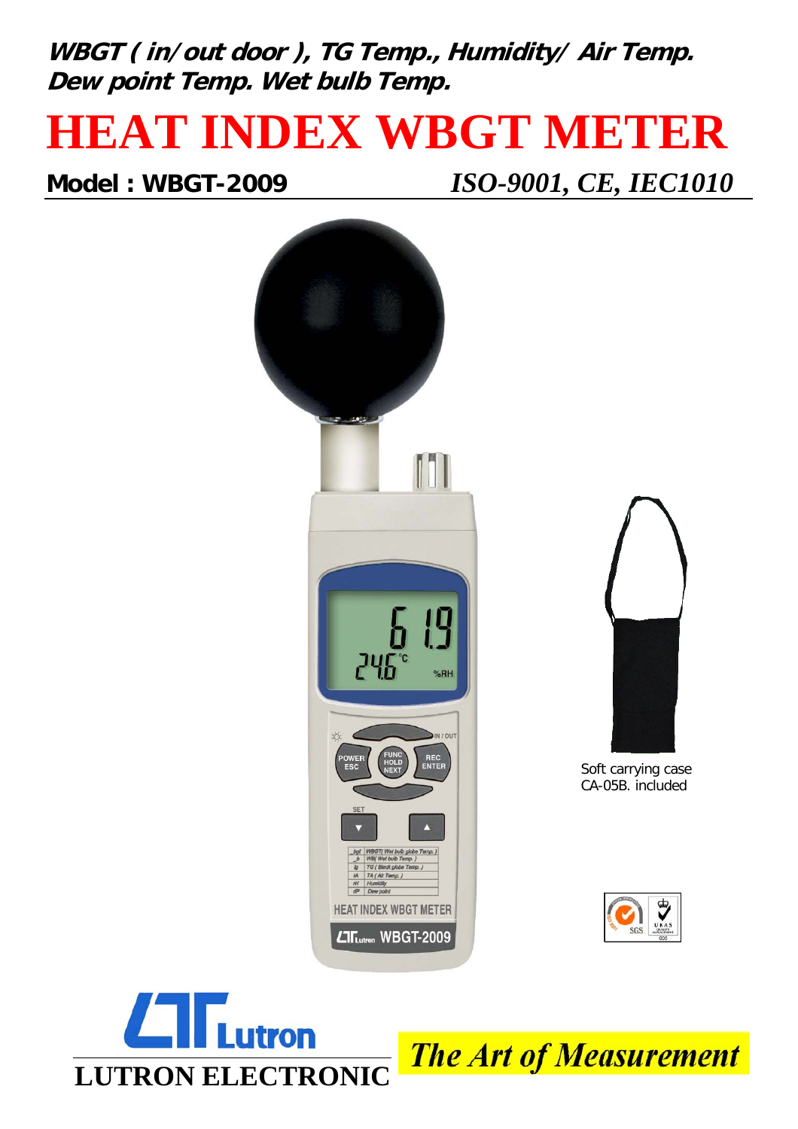**WBGT ( in/out door ), TG Temp., Humidity/ Air Temp. Dew point Temp. Wet bulb Temp.**

## **HEAT INDEX WBGT METER**

**Model : WBGT-2009** *ISO-9001, CE, IEC1010*





**The Art of Measurement**